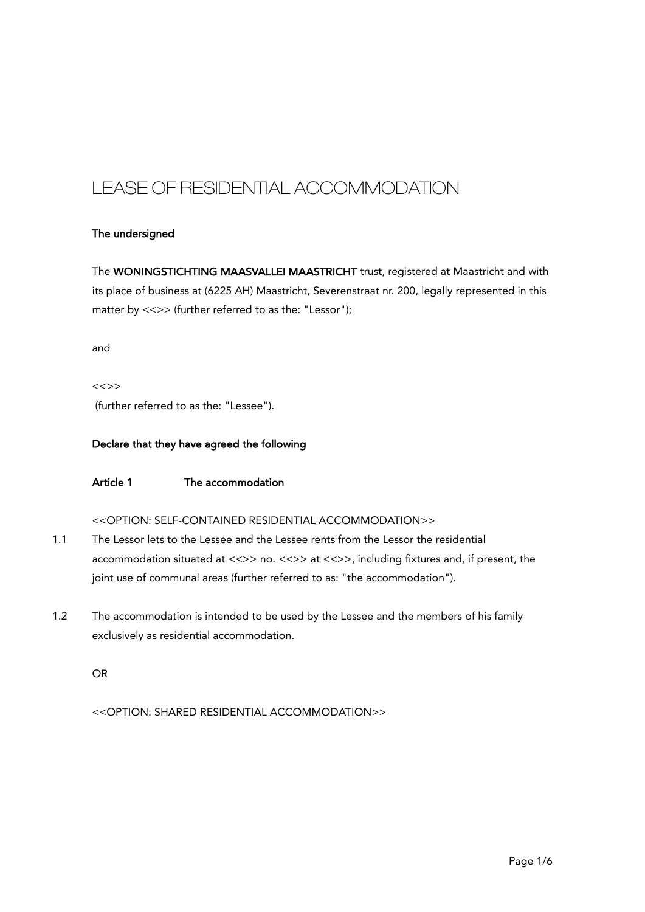# LEASE OF RESIDENTIAL ACCOMMODATION

# The undersigned

The WONINGSTICHTING MAASVALLEI MAASTRICHT trust, registered at Maastricht and with its place of business at (6225 AH) Maastricht, Severenstraat nr. 200, legally represented in this matter by <<>> (further referred to as the: "Lessor");

and

<<>> (further referred to as the: "Lessee").

## Declare that they have agreed the following

# Article 1 The accommodation

## <<OPTION: SELF-CONTAINED RESIDENTIAL ACCOMMODATION>>

- 1.1 The Lessor lets to the Lessee and the Lessee rents from the Lessor the residential accommodation situated at <<>> no. <<>> <<>> at <<>><>>>, including fixtures and, if present, the joint use of communal areas (further referred to as: "the accommodation").
- 1.2 The accommodation is intended to be used by the Lessee and the members of his family exclusively as residential accommodation.

OR

<<OPTION: SHARED RESIDENTIAL ACCOMMODATION>>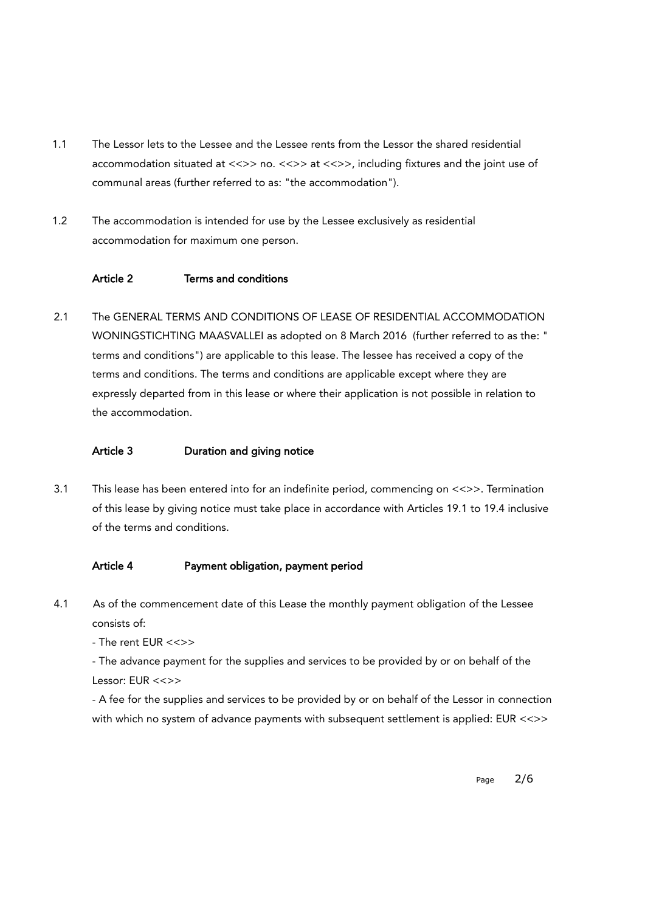- 1.1 The Lessor lets to the Lessee and the Lessee rents from the Lessor the shared residential accommodation situated at <<>> no. <<>> <<>> at <<>><>>>, including fixtures and the joint use of communal areas (further referred to as: "the accommodation").
- 1.2 The accommodation is intended for use by the Lessee exclusively as residential accommodation for maximum one person.

# Article 2 Terms and conditions

2.1 The GENERAL TERMS AND CONDITIONS OF LEASE OF RESIDENTIAL ACCOMMODATION WONINGSTICHTING MAASVALLEI as adopted on 8 March 2016 (further referred to as the: " terms and conditions") are applicable to this lease. The lessee has received a copy of the terms and conditions. The terms and conditions are applicable except where they are expressly departed from in this lease or where their application is not possible in relation to the accommodation.

## Article 3 Duration and giving notice

3.1 This lease has been entered into for an indefinite period, commencing on <<>>. Termination of this lease by giving notice must take place in accordance with Articles 19.1 to 19.4 inclusive of the terms and conditions.

# Article 4 Payment obligation, payment period

4.1 As of the commencement date of this Lease the monthly payment obligation of the Lessee consists of:

- The rent EUR <<>>

- The advance payment for the supplies and services to be provided by or on behalf of the Lessor: EUR <<>>

- A fee for the supplies and services to be provided by or on behalf of the Lessor in connection with which no system of advance payments with subsequent settlement is applied: EUR <<>>

Page 2/6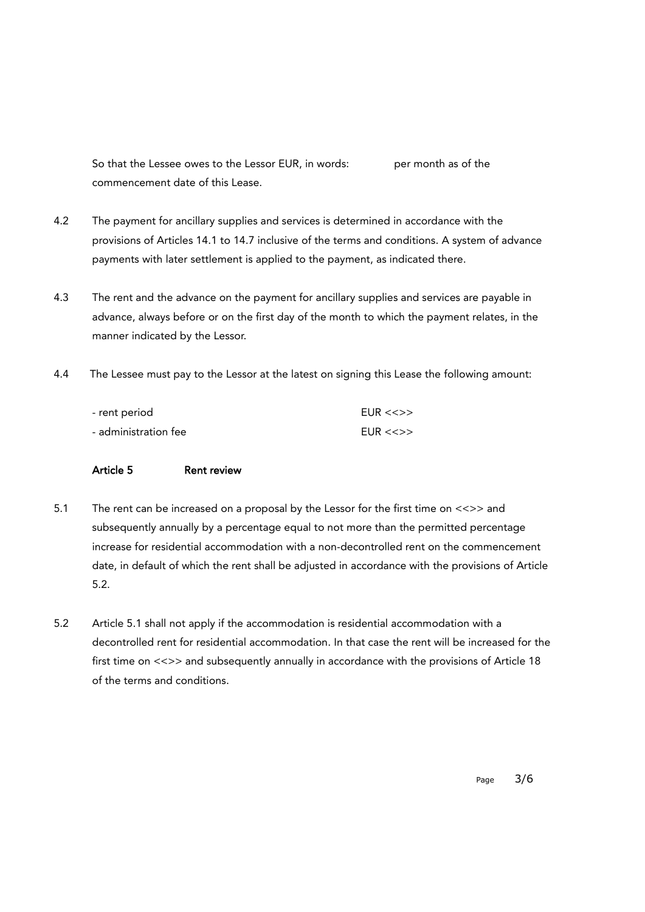So that the Lessee owes to the Lessor EUR, in words: per month as of the commencement date of this Lease.

- 4.2 The payment for ancillary supplies and services is determined in accordance with the provisions of Articles 14.1 to 14.7 inclusive of the terms and conditions. A system of advance payments with later settlement is applied to the payment, as indicated there.
- 4.3 The rent and the advance on the payment for ancillary supplies and services are payable in advance, always before or on the first day of the month to which the payment relates, in the manner indicated by the Lessor.
- 4.4 The Lessee must pay to the Lessor at the latest on signing this Lease the following amount:

| - rent period        | FUR << >> |
|----------------------|-----------|
| - administration fee | FUR << >> |

## Article 5 Rent review

- 5.1 The rent can be increased on a proposal by the Lessor for the first time on <<>> and subsequently annually by a percentage equal to not more than the permitted percentage increase for residential accommodation with a non-decontrolled rent on the commencement date, in default of which the rent shall be adjusted in accordance with the provisions of Article 5.2.
- 5.2 Article 5.1 shall not apply if the accommodation is residential accommodation with a decontrolled rent for residential accommodation. In that case the rent will be increased for the first time on <<>> and subsequently annually in accordance with the provisions of Article 18 of the terms and conditions.

Page 3/6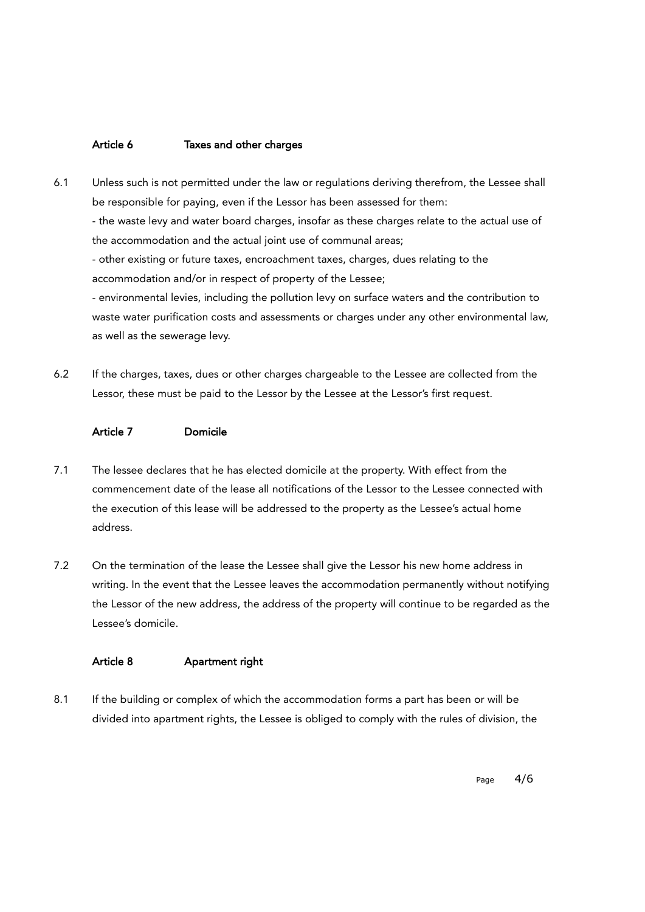## Article 6 Taxes and other charges

- 6.1 Unless such is not permitted under the law or regulations deriving therefrom, the Lessee shall be responsible for paying, even if the Lessor has been assessed for them: - the waste levy and water board charges, insofar as these charges relate to the actual use of the accommodation and the actual joint use of communal areas; - other existing or future taxes, encroachment taxes, charges, dues relating to the accommodation and/or in respect of property of the Lessee; - environmental levies, including the pollution levy on surface waters and the contribution to waste water purification costs and assessments or charges under any other environmental law, as well as the sewerage levy.
- 6.2 If the charges, taxes, dues or other charges chargeable to the Lessee are collected from the Lessor, these must be paid to the Lessor by the Lessee at the Lessor's first request.

#### Article 7 Domicile

- 7.1 The lessee declares that he has elected domicile at the property. With effect from the commencement date of the lease all notifications of the Lessor to the Lessee connected with the execution of this lease will be addressed to the property as the Lessee's actual home address.
- 7.2 On the termination of the lease the Lessee shall give the Lessor his new home address in writing. In the event that the Lessee leaves the accommodation permanently without notifying the Lessor of the new address, the address of the property will continue to be regarded as the Lessee's domicile.

# Article 8 Apartment right

8.1 If the building or complex of which the accommodation forms a part has been or will be divided into apartment rights, the Lessee is obliged to comply with the rules of division, the

Page 4/6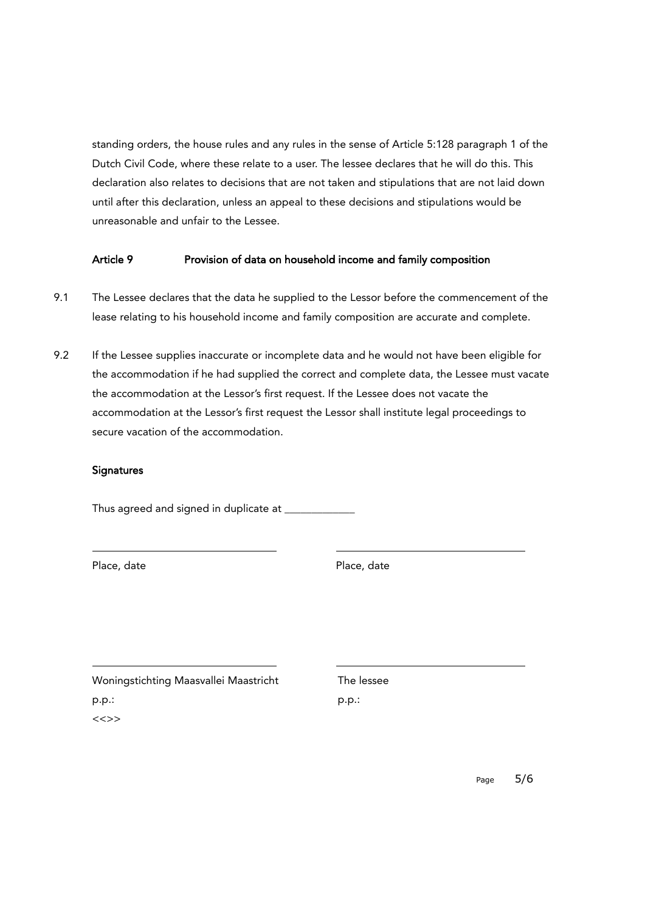standing orders, the house rules and any rules in the sense of Article 5:128 paragraph 1 of the Dutch Civil Code, where these relate to a user. The lessee declares that he will do this. This declaration also relates to decisions that are not taken and stipulations that are not laid down until after this declaration, unless an appeal to these decisions and stipulations would be unreasonable and unfair to the Lessee.

# Article 9 **Provision of data on household income and family composition**

- 9.1 The Lessee declares that the data he supplied to the Lessor before the commencement of the lease relating to his household income and family composition are accurate and complete.
- 9.2 If the Lessee supplies inaccurate or incomplete data and he would not have been eligible for the accommodation if he had supplied the correct and complete data, the Lessee must vacate the accommodation at the Lessor's first request. If the Lessee does not vacate the accommodation at the Lessor's first request the Lessor shall institute legal proceedings to secure vacation of the accommodation.

## **Signatures**

Thus agreed and signed in duplicate at

Place, date **Place**, date

Woningstichting Maasvallei Maastricht The lessee p.p.: p.p.: <<>>

Page 5/6